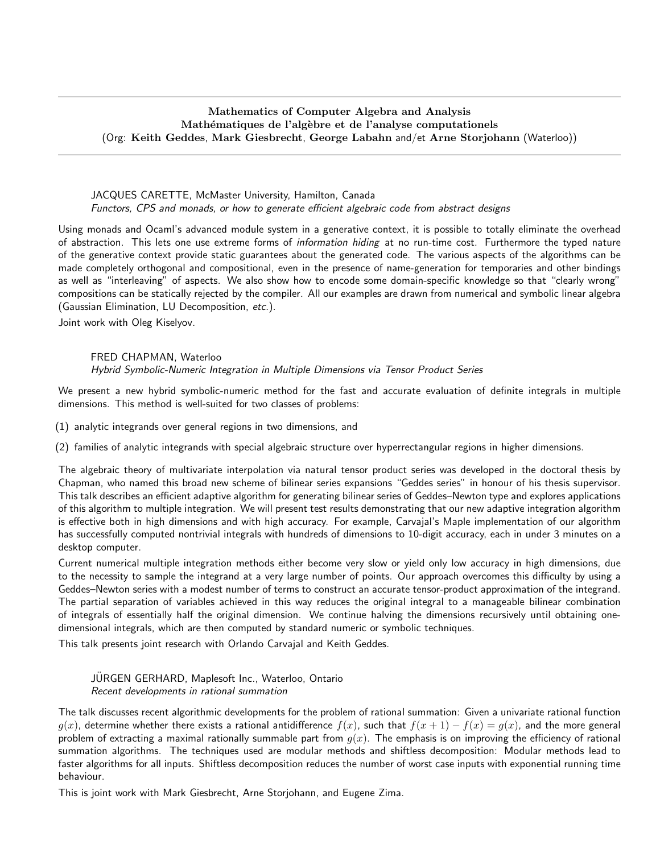# Mathematics of Computer Algebra and Analysis Mathématiques de l'algèbre et de l'analyse computationels (Org: Keith Geddes, Mark Giesbrecht, George Labahn and/et Arne Storjohann (Waterloo))

### JACQUES CARETTE, McMaster University, Hamilton, Canada Functors, CPS and monads, or how to generate efficient algebraic code from abstract designs

Using monads and Ocaml's advanced module system in a generative context, it is possible to totally eliminate the overhead of abstraction. This lets one use extreme forms of information hiding at no run-time cost. Furthermore the typed nature of the generative context provide static guarantees about the generated code. The various aspects of the algorithms can be made completely orthogonal and compositional, even in the presence of name-generation for temporaries and other bindings as well as "interleaving" of aspects. We also show how to encode some domain-specific knowledge so that "clearly wrong" compositions can be statically rejected by the compiler. All our examples are drawn from numerical and symbolic linear algebra (Gaussian Elimination, LU Decomposition, etc.).

Joint work with Oleg Kiselyov.

# FRED CHAPMAN, Waterloo Hybrid Symbolic-Numeric Integration in Multiple Dimensions via Tensor Product Series

We present a new hybrid symbolic-numeric method for the fast and accurate evaluation of definite integrals in multiple dimensions. This method is well-suited for two classes of problems:

(1) analytic integrands over general regions in two dimensions, and

(2) families of analytic integrands with special algebraic structure over hyperrectangular regions in higher dimensions.

The algebraic theory of multivariate interpolation via natural tensor product series was developed in the doctoral thesis by Chapman, who named this broad new scheme of bilinear series expansions "Geddes series" in honour of his thesis supervisor. This talk describes an efficient adaptive algorithm for generating bilinear series of Geddes–Newton type and explores applications of this algorithm to multiple integration. We will present test results demonstrating that our new adaptive integration algorithm is effective both in high dimensions and with high accuracy. For example, Carvajal's Maple implementation of our algorithm has successfully computed nontrivial integrals with hundreds of dimensions to 10-digit accuracy, each in under 3 minutes on a desktop computer.

Current numerical multiple integration methods either become very slow or yield only low accuracy in high dimensions, due to the necessity to sample the integrand at a very large number of points. Our approach overcomes this difficulty by using a Geddes–Newton series with a modest number of terms to construct an accurate tensor-product approximation of the integrand. The partial separation of variables achieved in this way reduces the original integral to a manageable bilinear combination of integrals of essentially half the original dimension. We continue halving the dimensions recursively until obtaining onedimensional integrals, which are then computed by standard numeric or symbolic techniques.

This talk presents joint research with Orlando Carvajal and Keith Geddes.

JURGEN GERHARD, Maplesoft Inc., Waterloo, Ontario ¨ Recent developments in rational summation

The talk discusses recent algorithmic developments for the problem of rational summation: Given a univariate rational function  $g(x)$ , determine whether there exists a rational antidifference  $f(x)$ , such that  $f(x+1) - f(x) = g(x)$ , and the more general problem of extracting a maximal rationally summable part from  $g(x)$ . The emphasis is on improving the efficiency of rational summation algorithms. The techniques used are modular methods and shiftless decomposition: Modular methods lead to faster algorithms for all inputs. Shiftless decomposition reduces the number of worst case inputs with exponential running time behaviour.

This is joint work with Mark Giesbrecht, Arne Storjohann, and Eugene Zima.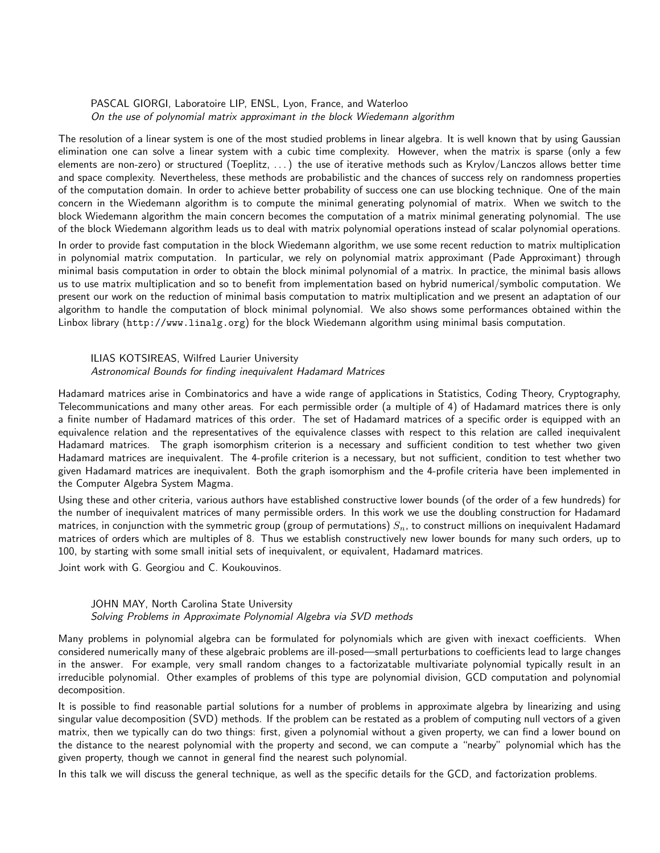#### PASCAL GIORGI, Laboratoire LIP, ENSL, Lyon, France, and Waterloo On the use of polynomial matrix approximant in the block Wiedemann algorithm

The resolution of a linear system is one of the most studied problems in linear algebra. It is well known that by using Gaussian elimination one can solve a linear system with a cubic time complexity. However, when the matrix is sparse (only a few elements are non-zero) or structured (Toeplitz, . . . ) the use of iterative methods such as Krylov/Lanczos allows better time and space complexity. Nevertheless, these methods are probabilistic and the chances of success rely on randomness properties of the computation domain. In order to achieve better probability of success one can use blocking technique. One of the main concern in the Wiedemann algorithm is to compute the minimal generating polynomial of matrix. When we switch to the block Wiedemann algorithm the main concern becomes the computation of a matrix minimal generating polynomial. The use of the block Wiedemann algorithm leads us to deal with matrix polynomial operations instead of scalar polynomial operations.

In order to provide fast computation in the block Wiedemann algorithm, we use some recent reduction to matrix multiplication in polynomial matrix computation. In particular, we rely on polynomial matrix approximant (Pade Approximant) through minimal basis computation in order to obtain the block minimal polynomial of a matrix. In practice, the minimal basis allows us to use matrix multiplication and so to benefit from implementation based on hybrid numerical/symbolic computation. We present our work on the reduction of minimal basis computation to matrix multiplication and we present an adaptation of our algorithm to handle the computation of block minimal polynomial. We also shows some performances obtained within the Linbox library (http://www.linalg.org) for the block Wiedemann algorithm using minimal basis computation.

#### ILIAS KOTSIREAS, Wilfred Laurier University Astronomical Bounds for finding inequivalent Hadamard Matrices

Hadamard matrices arise in Combinatorics and have a wide range of applications in Statistics, Coding Theory, Cryptography, Telecommunications and many other areas. For each permissible order (a multiple of 4) of Hadamard matrices there is only a finite number of Hadamard matrices of this order. The set of Hadamard matrices of a specific order is equipped with an equivalence relation and the representatives of the equivalence classes with respect to this relation are called inequivalent Hadamard matrices. The graph isomorphism criterion is a necessary and sufficient condition to test whether two given Hadamard matrices are inequivalent. The 4-profile criterion is a necessary, but not sufficient, condition to test whether two given Hadamard matrices are inequivalent. Both the graph isomorphism and the 4-profile criteria have been implemented in the Computer Algebra System Magma.

Using these and other criteria, various authors have established constructive lower bounds (of the order of a few hundreds) for the number of inequivalent matrices of many permissible orders. In this work we use the doubling construction for Hadamard matrices, in conjunction with the symmetric group (group of permutations)  $S_n$ , to construct millions on inequivalent Hadamard matrices of orders which are multiples of 8. Thus we establish constructively new lower bounds for many such orders, up to 100, by starting with some small initial sets of inequivalent, or equivalent, Hadamard matrices.

Joint work with G. Georgiou and C. Koukouvinos.

# JOHN MAY, North Carolina State University Solving Problems in Approximate Polynomial Algebra via SVD methods

Many problems in polynomial algebra can be formulated for polynomials which are given with inexact coefficients. When considered numerically many of these algebraic problems are ill-posed—small perturbations to coefficients lead to large changes in the answer. For example, very small random changes to a factorizatable multivariate polynomial typically result in an irreducible polynomial. Other examples of problems of this type are polynomial division, GCD computation and polynomial decomposition.

It is possible to find reasonable partial solutions for a number of problems in approximate algebra by linearizing and using singular value decomposition (SVD) methods. If the problem can be restated as a problem of computing null vectors of a given matrix, then we typically can do two things: first, given a polynomial without a given property, we can find a lower bound on the distance to the nearest polynomial with the property and second, we can compute a "nearby" polynomial which has the given property, though we cannot in general find the nearest such polynomial.

In this talk we will discuss the general technique, as well as the specific details for the GCD, and factorization problems.